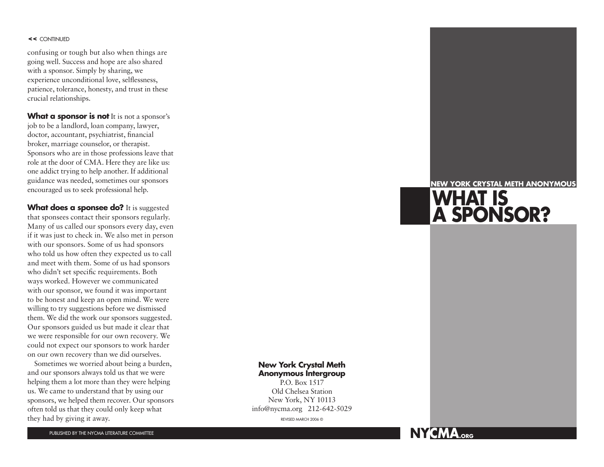#### **<<** continue D

confusing or tough but also when things are going well. Success and hope are also shared with a sponsor. Simply by sharing, we experience unconditional love, selflessness, patience, tolerance, honesty, and trust in these crucial relationships.

What a sponsor is not It is not a sponsor's job to be a landlord, loan company, lawyer, doctor, accountant, psychiatrist, financial broker, marriage counselor, or therapist. Sponsors who are in those professions leave that role at the door of CMA. Here they are like us: one addict trying to help another. If additional guidance was needed, sometimes our sponsors encouraged us to seek professional help.

What does a sponsee do? It is suggested that sponsees contact their sponsors regularly. Many of us called our sponsors every day, even if it was just to check in. We also met in person with our sponsors. Some of us had sponsors who told us how often they expected us to call and meet with them. Some of us had sponsors who didn't set specific requir ements. Both ways worked. However we commun icated with our sponsor, we found it was important to be honest and keep an open mind. We were willing to try suggestions before we dismissed them. We did the work our sponsors suggested. Our sponsors guided us but made it clear that we were responsible for our own recovery. We could not expect our sponsors to work harder on our own recovery than we did ourselves.

Sometimes we worried about being a burden, and our sponsors always told us that we were helping them a lot more than they were helping us. We came to understand that by using our sponsors, we helped them recover. Our sponsors often told us that they could only keep what they had by giving it away. They had by giving it away.

#### **NEW YORK CRYSTAL METH ANONYMOUS**

# **What IS A SPONSOR?**

## **New York Crystal Meth Anonymous Intergroup**

P.O. Box 1517 Old Chelsea Station New York, NY 10113 info@nycma.org 212-642-5029